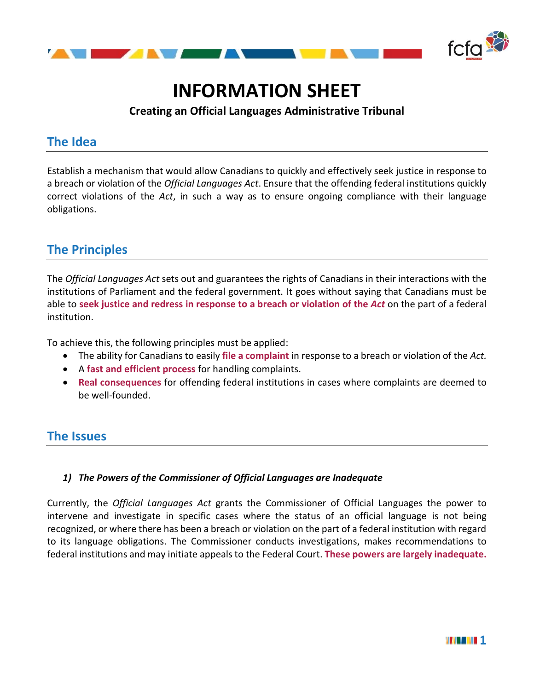

# **INFORMATION SHEET**

## **Creating an Official Languages Administrative Tribunal**

## **The Idea**

Establish a mechanism that would allow Canadians to quickly and effectively seek justice in response to a breach or violation of the *Official Languages Act*. Ensure that the offending federal institutions quickly correct violations of the *Act*, in such a way as to ensure ongoing compliance with their language obligations.

## **The Principles**

The *Official Languages Act* sets out and guarantees the rights of Canadians in their interactions with the institutions of Parliament and the federal government. It goes without saying that Canadians must be able to **seek justice and redress in response to a breach or violation of the** *Act* on the part of a federal institution.

To achieve this, the following principles must be applied:

- The ability for Canadians to easily **file a complaint** in response to a breach or violation of the *Act.*
- A **fast and efficient process** for handling complaints.
- **Real consequences** for offending federal institutions in cases where complaints are deemed to be well-founded.

## **The Issues**

#### *1) The Powers of the Commissioner of Official Languages are Inadequate*

Currently, the *Official Languages Act* grants the Commissioner of Official Languages the power to intervene and investigate in specific cases where the status of an official language is not being recognized, or where there has been a breach or violation on the part of a federal institution with regard to its language obligations. The Commissioner conducts investigations, makes recommendations to federal institutions and may initiate appeals to the Federal Court. **These powers are largely inadequate.**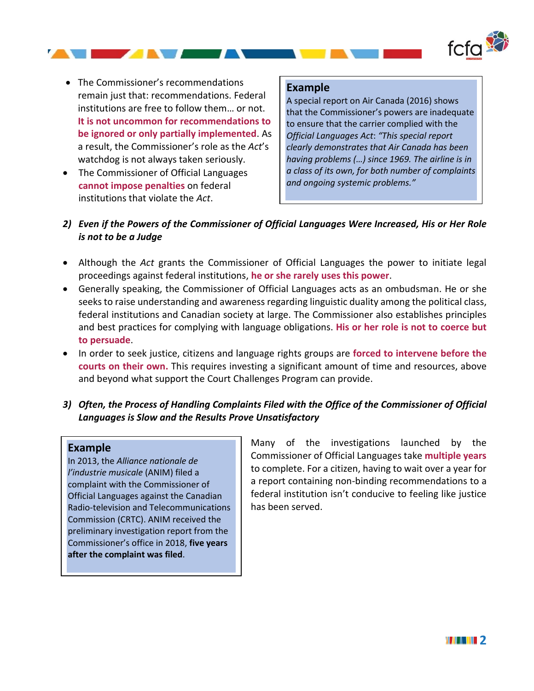

• The Commissioner's recommendations remain just that: recommendations. Federal institutions are free to follow them… or not. **It is not uncommon for recommendations to be ignored or only partially implemented**. As a result, the Commissioner's role as the *Act*'s watchdog is not always taken seriously.

AT AN AN A

• The Commissioner of Official Languages **cannot impose penalties** on federal institutions that violate the *Act*.

#### **Example**

A special report on Air Canada (2016) shows that the Commissioner's powers are inadequate to ensure that the carrier complied with the *Official Languages Act*: *"This special report clearly demonstrates that Air Canada has been having problems (…) since 1969. The airline is in a class of its own, for both number of complaints and ongoing systemic problems."*

- *2) Even if the Powers of the Commissioner of Official Languages Were Increased, His or Her Role is not to be a Judge*
- Although the *Act* grants the Commissioner of Official Languages the power to initiate legal proceedings against federal institutions, **he or she rarely uses this power**.
- Generally speaking, the Commissioner of Official Languages acts as an ombudsman. He or she seeks to raise understanding and awareness regarding linguistic duality among the political class, federal institutions and Canadian society at large. The Commissioner also establishes principles and best practices for complying with language obligations. **His or her role is not to coerce but to persuade**.
- In order to seek justice, citizens and language rights groups are **forced to intervene before the courts on their own.** This requires investing a significant amount of time and resources, above and beyond what support the Court Challenges Program can provide.
- *3) Often, the Process of Handling Complaints Filed with the Office of the Commissioner of Official Languages is Slow and the Results Prove Unsatisfactory*

#### **Example**

In 2013, the *Alliance nationale de l'industrie musicale* (ANIM) filed a complaint with the Commissioner of Official Languages against the Canadian Radio-television and Telecommunications Commission (CRTC). ANIM received the preliminary investigation report from the Commissioner's office in 2018, **five years after the complaint was filed**.

Many of the investigations launched by the Commissioner of Official Languages take **multiple years** to complete. For a citizen, having to wait over a year for a report containing non-binding recommendations to a federal institution isn't conducive to feeling like justice has been served.